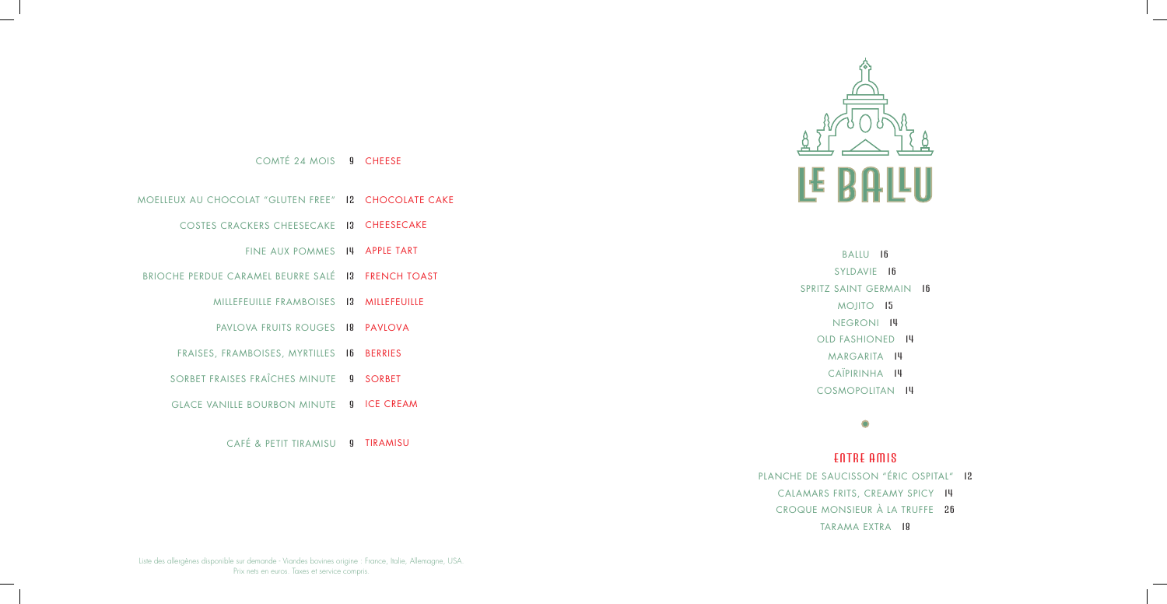BALLU 16 SYLDAVIE 16 SPRITZ SAINT GERMAIN 16 MOJITO 15 NEGRONI 14 OLD FASHIONED 14 MARGARITA 14 CAÏPIRINHA 14 COSMOPOLITAN 14

## $\bullet$

COMTÉ 24 MOIS 9 CHEESE

- MOELLEUX AU CHOCOLAT "GLUTEN FREE" 12 CHOCOLATE CAKE
	- COSTES CRACKERS CHEESECAKE 13 CHEESECAKE
		- FINE AUX POMMES 14 APPLE TART
- BRIOCHE PERDUE CARAMEL BEURRE SALÉ 13 FRENCH TOAST
	- MILLEFEUILLE FRAMBOISES 13 MILLEFEUILLE
	- PAVLOVA FRUITS ROUGES 18 PAVLOVA
	- FRAISES, FRAMBOISES, MYRTILLES 16 BERRIES
	- SORBET FRAISES FRAÏCHES MINUTE 9 SORBET
	- GLACE VANILLE BOURBON MINUTE 9 ICE CREAM

CAFÉ & PETIT TIRAMISU **quatturamisu** 



ENTRE AMIS PLANCHE DE SAUCISSON "ÉRIC OSPITAL" 12 CALAMARS FRITS, CREAMY SPICY 14 CROQUE MONSIEUR À LA TRUFFE 26 TARAMA EXTRA 18